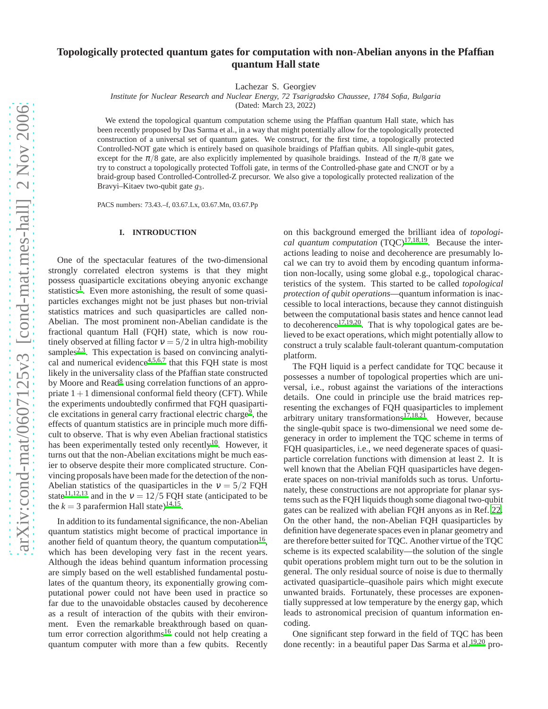# **Topologically protected quantum gates for computation with non-Abelian anyons in the Pfaffian quantum Hall state**

Lachezar S. Georgiev

*Institute for Nuclear Research and Nuclear Energy, 72 Tsarigradsko Chaussee, 1784 Sofia, Bulgaria*

(Dated: March 23, 2022)

We extend the topological quantum computation scheme using the Pfaffian quantum Hall state, which has been recently proposed by Das Sarma et al., in a way that might potentially allow for the topologically protected construction of a universal set of quantum gates. We construct, for the first time, a topologically protected Controlled-NOT gate which is entirely based on quasihole braidings of Pfaffian qubits. All single-qubit gates, except for the  $\pi/8$  gate, are also explicitly implemented by quasihole braidings. Instead of the  $\pi/8$  gate we try to construct a topologically protected Toffoli gate, in terms of the Controlled-phase gate and CNOT or by a braid-group based Controlled-Controlled-Z precursor. We also give a topologically protected realization of the Bravyi–Kitaev two-qubit gate *g*3.

PACS numbers: 73.43.–f, 03.67.Lx, 03.67.Mn, 03.67.Pp

# **I. INTRODUCTION**

One of the spectacular features of the two-dimensional strongly correlated electron systems is that they might possess quasiparticle excitations obeying anyonic exchange [s](#page-4-0)tatistics<sup>1</sup>. Even more astonishing, the result of some quasiparticles exchanges might not be just phases but non-trivial statistics matrices and such quasiparticles are called non-Abelian. The most prominent non-Abelian candidate is the fractional quantum Hall (FQH) state, which is now routinely observed at filling factor  $v = 5/2$  in ultra high-mobility samples<sup>[2](#page-4-1)[,3](#page-4-2)</sup>. This expectation is based on convincing analytical and numerical evidence $4,5,6,7$  $4,5,6,7$  $4,5,6,7$  $4,5,6,7$  that this FQH state is most likely in the universality class of the Pfaffian state constructed by Moore an[d](#page-4-7) Read<sup>8</sup> using correlation functions of an appropriate  $1+1$  dimensional conformal field theory (CFT). While the experiments undoubtedly confirmed that FQH quasiparti-cle excitations in general carry fractional electric charge<sup>[9](#page-4-8)</sup>, the effects of quantum statistics are in principle much more difficult to observe. That is why even Abelian fractional statistics has been experimentally tested only recently<sup>[10](#page-4-9)</sup>. However, it turns out that the non-Abelian excitations might be much easier to observe despite their more complicated structure. Convincing proposals have been made for the detection of the non-Abelian statistics of the quasiparticles in the  $v = 5/2$  FQH state<sup>[11](#page-4-10)[,12](#page-4-11)[,13](#page-4-12)</sup> and in the  $v = 12/5$  FQH state (anticipated to be the  $k = 3$  parafermion Hall state)<sup>[14](#page-4-13)[,15](#page-4-14)</sup>.

In addition to its fundamental significance, the non-Abelian quantum statistics might become of practical importance in another field of quantum theory, the quantum computation $16$ , which has been developing very fast in the recent years. Although the ideas behind quantum information processing are simply based on the well established fundamental postulates of the quantum theory, its exponentially growing computational power could not have been used in practice so far due to the unavoidable obstacles caused by decoherence as a result of interaction of the qubits with their environment. Even the remarkable breakthrough based on quan-tum error correction algorithms<sup>[16](#page-4-15)</sup> could not help creating a quantum computer with more than a few qubits. Recently

on this background emerged the brilliant idea of *topological quantum computation* (TQC)<sup>[17](#page-4-16)[,18](#page-4-17)[,19](#page-4-18)</sup>. Because the interactions leading to noise and decoherence are presumably local we can try to avoid them by encoding quantum information non-locally, using some global e.g., topological characteristics of the system. This started to be called *topological protection of qubit operations*—quantum information is inaccessible to local interactions, because they cannot distinguish between the computational basis states and hence cannot lead to decoherence<sup>[17](#page-4-16)[,19](#page-4-18)[,20](#page-4-19)</sup>. That is why topological gates are believed to be exact operations, which might potentially allow to construct a truly scalable fault-tolerant quantum-computation platform.

The FQH liquid is a perfect candidate for TQC because it possesses a number of topological properties which are universal, i.e., robust against the variations of the interactions details. One could in principle use the braid matrices representing the exchanges of FQH quasiparticles to implement arbitrary unitary transformations<sup> $17,18,21$  $17,18,21$  $17,18,21$ </sup>. However, because the single-qubit space is two-dimensional we need some degeneracy in order to implement the TQC scheme in terms of FQH quasiparticles, i.e., we need degenerate spaces of quasiparticle correlation functions with dimension at least 2. It is well known that the Abelian FQH quasiparticles have degenerate spaces on non-trivial manifolds such as torus. Unfortunately, these constructions are not appropriate for planar systems such as the FQH liquids though some diagonal two-qubit gates can be realized with abelian FQH anyons as in Ref. [22.](#page-4-21) On the other hand, the non-Abelian FQH quasiparticles by definition have degenerate spaces even in planar geometry and are therefore better suited for TQC. Another virtue of the TQC scheme is its expected scalability—the solution of the single qubit operations problem might turn out to be the solution in general. The only residual source of noise is due to thermally activated quasiparticle–quasihole pairs which might execute unwanted braids. Fortunately, these processes are exponentially suppressed at low temperature by the energy gap, which leads to astronomical precision of quantum information encoding.

One significant step forward in the field of TQC has been done recently: in a beautiful paper Das Sarma et al.<sup>[19](#page-4-18)[,20](#page-4-19)</sup> pro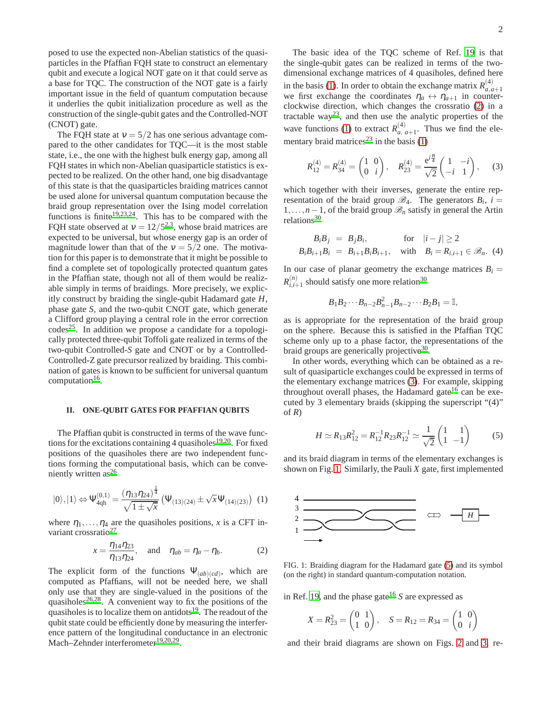posed to use the expected non-Abelian statistics of the quasiparticles in the Pfaffian FQH state to construct an elementary qubit and execute a logical NOT gate on it that could serve as a base for TQC. The construction of the NOT gate is a fairly important issue in the field of quantum computation because it underlies the qubit initialization procedure as well as the construction of the single-qubit gates and the Controlled-NOT (CNOT) gate.

The FQH state at  $v = 5/2$  has one serious advantage compared to the other candidates for TQC—it is the most stable state, i.e., the one with the highest bulk energy gap, among all FQH states in which non-Abelian quasiparticle statistics is expected to be realized. On the other hand, one big disadvantage of this state is that the quasiparticles braiding matrices cannot be used alone for universal quantum computation because the braid group representation over the Ising model correlation functions is finite<sup>[19](#page-4-18)[,23](#page-4-22)[,24](#page-4-23)</sup>. This has to be compared with the FQH state observed at  $v = 12/5^{2,3}$  $v = 12/5^{2,3}$  $v = 12/5^{2,3}$  $v = 12/5^{2,3}$  $v = 12/5^{2,3}$ , whose braid matrices are expected to be universal, but whose energy gap is an order of magnitude lower than that of the  $v = 5/2$  one. The motivation for this paper is to demonstrate that it might be possible to find a complete set of topologically protected quantum gates in the Pfaffian state, though not all of them would be realizable simply in terms of braidings. More precisely, we explicitly construct by braiding the single-qubit Hadamard gate *H*, phase gate *S*, and the two-qubit CNOT gate, which generate a Clifford group playing a central role in the error correction  $codes^{25}$  $codes^{25}$  $codes^{25}$ . In addition we propose a candidate for a topologically protected three-qubit Toffoli gate realized in terms of the two-qubit Controlled-*S* gate and CNOT or by a Controlled-Controlled-Z gate precursor realized by braiding. This combination of gates is known to be sufficient for universal quantum computation<sup>[16](#page-4-15)</sup>.

### **II. ONE-QUBIT GATES FOR PFAFFIAN QUBITS**

The Pfaffian qubit is constructed in terms of the wave func-tions for the excitations containing 4 quasiholes<sup>[19](#page-4-18)[,20](#page-4-19)</sup>. For fixed positions of the quasiholes there are two independent functions forming the computational basis, which can be conve-niently written as<sup>[26](#page-4-25)</sup>

<span id="page-1-0"></span>
$$
|0\rangle, |1\rangle \Leftrightarrow \Psi_{4qh}^{(0,1)} = \frac{(\eta_{13}\eta_{24})^{\frac{1}{4}}}{\sqrt{1 \pm \sqrt{x}}} \left(\Psi_{(13)(24)} \pm \sqrt{x}\Psi_{(14)(23)}\right) (1)
$$

where  $\eta_1, \ldots, \eta_4$  are the quasiholes positions, *x* is a CFT in-variant crossratio<sup>[27](#page-4-26)</sup>

<span id="page-1-1"></span>
$$
x = \frac{\eta_{14}\eta_{23}}{\eta_{13}\eta_{24}}, \text{ and } \eta_{ab} = \eta_a - \eta_b.
$$
 (2)

The explicit form of the functions  $\Psi_{(ab)(cd)}$ , which are computed as Pfaffians, will not be needed here, we shall only use that they are single-valued in the positions of the quasiholes<sup>[26](#page-4-25)[,28](#page-4-27)</sup>. A convenient way to fix the positions of the qua[s](#page-4-18)iholes is to localize them on antidots<sup>19</sup>. The readout of the qubit state could be efficiently done by measuring the interference pattern of the longitudinal conductance in an electronic Mach–Zehnder interferometer<sup>[19](#page-4-18)[,20](#page-4-19)[,29](#page-4-28)</sup>.

The basic idea of the TQC scheme of Ref. [19](#page-4-18) is that the single-qubit gates can be realized in terms of the twodimensional exchange matrices of 4 quasiholes, defined here in the basis [\(1\)](#page-1-0). In order to obtain the exchange matrix  $R_{a}^{(4)}$ *a*,*a*+1 we first exchange the coordinates  $\eta_a \leftrightarrow \eta_{a+1}$  in counterclockwise direction, which changes the crossratio [\(2\)](#page-1-1) in a tractable way<sup>[23](#page-4-22)</sup>, and then use the analytic properties of the wave functions [\(1\)](#page-1-0) to extract  $R_{a}^{(4)}$  $\binom{4}{a}$ ,  $a+1$ . Thus we find the ele-mentary braid matrices<sup>[23](#page-4-22)</sup> in the basis  $(1)$ 

<span id="page-1-2"></span>
$$
R_{12}^{(4)} = R_{34}^{(4)} = \begin{pmatrix} 1 & 0 \\ 0 & i \end{pmatrix}, \quad R_{23}^{(4)} = \frac{e^{i\frac{\pi}{4}}}{\sqrt{2}} \begin{pmatrix} 1 & -i \\ -i & 1 \end{pmatrix}, \quad (3)
$$

which together with their inverses, generate the entire representation of the braid group  $\mathcal{B}_4$ . The generators  $B_i$ ,  $i =$ 1,...,*n*−1, of the braid group  $\mathcal{B}_n$  satisfy in general the Artin relations<sup>[30](#page-5-0)</sup>

<span id="page-1-5"></span>
$$
B_i B_j = B_j B_i, \quad \text{for} \quad |i - j| \ge 2
$$
  

$$
B_i B_{i+1} B_i = B_{i+1} B_i B_{i+1}, \quad \text{with} \quad B_i = R_{i,i+1} \in \mathcal{B}_n. \tag{4}
$$

In our case of planar geometry the exchange matrices  $B_i =$  $R_{i,i}^{(n)}$  $\binom{n}{i,i+1}$  should satisfy one more relation<sup>[30](#page-5-0)</sup>

 $B_1B_2\cdots B_{n-2}B_{n-1}^2B_{n-2}\cdots B_2B_1=\mathbb{I},$ 

as is appropriate for the representation of the braid group on the sphere. Because this is satisfied in the Pfaffian TQC scheme only up to a phase factor, the representations of the braid groups are generically projective<sup>[30](#page-5-0)</sup>.

In other words, everything which can be obtained as a result of quasiparticle exchanges could be expressed in terms of the elementary exchange matrices [\(3\)](#page-1-2). For example, skipping throughout ov[e](#page-4-15)rall phases, the Hadamard gate<sup>16</sup> can be executed by 3 elementary braids (skipping the superscript "(4)" of *R*)

<span id="page-1-4"></span>
$$
H \simeq R_{13}R_{12}^2 = R_{12}^{-1}R_{23}R_{12}^{-1} \simeq \frac{1}{\sqrt{2}} \begin{pmatrix} 1 & 1\\ 1 & -1 \end{pmatrix}
$$
 (5)

and its braid diagram in terms of the elementary exchanges is shown on Fig. [1.](#page-1-3) Similarly, the Pauli *X* gate, first implemented



<span id="page-1-3"></span>FIG. 1: Braiding diagram for the Hadamard gate [\(5\)](#page-1-4) and its symbol (on the right) in standard quantum-computation notation.

in Ref. [19,](#page-4-18) and the phase gate<sup>[16](#page-4-15)</sup> *S* are expressed as

$$
X = R_{23}^2 = \begin{pmatrix} 0 & 1 \\ 1 & 0 \end{pmatrix}, \quad S = R_{12} = R_{34} = \begin{pmatrix} 1 & 0 \\ 0 & i \end{pmatrix}
$$

and their braid diagrams are shown on Figs. [2](#page-2-0) and [3,](#page-2-1) re-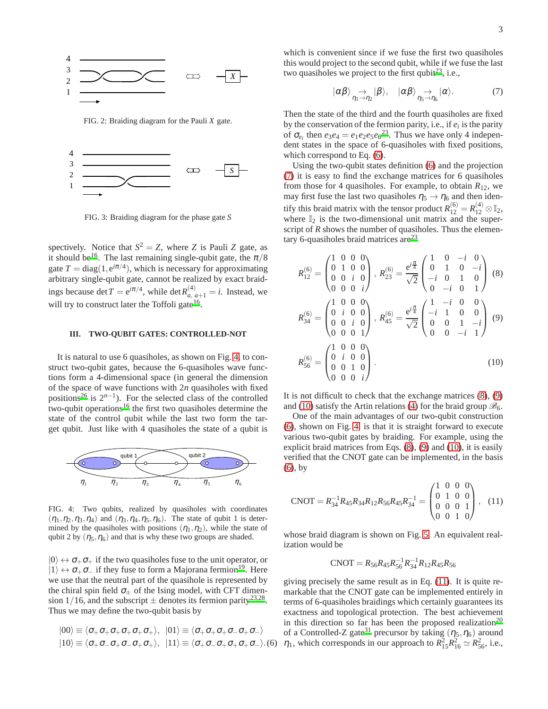

<span id="page-2-0"></span>FIG. 2: Braiding diagram for the Pauli *X* gate.



<span id="page-2-1"></span>FIG. 3: Braiding diagram for the phase gate *S*

spectively. Notice that  $S^2 = Z$ , where *Z* is Pauli *Z* gate, as it should be<sup>[16](#page-4-15)</sup>. The last remaining single-qubit gate, the  $\pi/8$ gate  $T = diag(1, e^{i\pi/4})$ , which is necessary for approximating arbitrary single-qubit gate, cannot be realized by exact braidings because det  $T = e^{i\pi/4}$ , while det  $R_{a, a+1}^{(4)} = i$ . Instead, we will try to construct later the Toffoli gate<sup>[16](#page-4-15)</sup>.

# **III. TWO-QUBIT GATES: CONTROLLED-NOT**

It is natural to use 6 quasiholes, as shown on Fig. [4,](#page-2-2) to construct two-qubit gates, because the 6-quasiholes wave functions form a 4-dimensional space (in general the dimension of the space of wave functions with 2*n* quasiholes with fixed positions<sup>[26](#page-4-25)</sup> is  $2^{n-1}$ ). For the selected class of the controlled two-qubit operations<sup>[16](#page-4-15)</sup> the first two quasiholes determine the state of the control qubit while the last two form the target qubit. Just like with 4 quasiholes the state of a qubit is



<span id="page-2-2"></span>FIG. 4: Two qubits, realized by quasiholes with coordinates  $(\eta_1, \eta_2, \eta_3, \eta_4)$  and  $(\eta_3, \eta_4, \eta_5, \eta_6)$ . The state of qubit 1 is determined by the quasiholes with positions  $(\eta_1, \eta_2)$ , while the state of qubit 2 by  $(\eta_5, \eta_6)$  and that is why these two groups are shaded.

 $|0\rangle \leftrightarrow \sigma_+ \sigma_+$  if the two quasiholes fuse to the unit operator, or  $|1\rangle \leftrightarrow \sigma_+ \sigma_-$  if they fuse to form a Majorana fermion<sup>[19](#page-4-18)</sup>. Here we use that the neutral part of the quasihole is represented by the chiral spin field  $\sigma_{\pm}$  of the Ising model, with CFT dimension 1/16, and the subscript  $\pm$  denotes its fermion parity<sup>[23](#page-4-22)[,28](#page-4-27)</sup>. Thus we may define the two-qubit basis by

<span id="page-2-3"></span>
$$
|00\rangle \equiv \langle \sigma_{+}\sigma_{+}\sigma_{+}\sigma_{+}\sigma_{+}\sigma_{+}\rangle, \ \ |01\rangle \equiv \langle \sigma_{+}\sigma_{+}\sigma_{+}\sigma_{-}\sigma_{+}\sigma_{-}\rangle |10\rangle \equiv \langle \sigma_{+}\sigma_{-}\sigma_{+}\sigma_{-}\sigma_{+}\sigma_{+}\rangle, \ \ |11\rangle \equiv \langle \sigma_{+}\sigma_{-}\sigma_{+}\sigma_{+}\sigma_{+}\sigma_{-}\rangle.
$$

which is convenient since if we fuse the first two quasiholes this would project to the second qubit, while if we fuse the last two quasiholes we project to the first qubit  $2^3$ , i.e.,

<span id="page-2-4"></span>
$$
|\alpha\beta\rangle \underset{\eta_1 \to \eta_2}{\to} |\beta\rangle, \quad |\alpha\beta\rangle \underset{\eta_5 \to \eta_6}{\to} |\alpha\rangle. \tag{7}
$$

Then the state of the third and the fourth quasiholes are fixed by the conservation of the fermion parity, i.e., if *e<sup>i</sup>* is the parity of  $\sigma_{e_i}$  then  $e_3e_4 = e_1e_2e_5e_6^{23}$  $e_3e_4 = e_1e_2e_5e_6^{23}$  $e_3e_4 = e_1e_2e_5e_6^{23}$ . Thus we have only 4 independent states in the space of 6-quasiholes with fixed positions, which correspond to Eq. [\(6\)](#page-2-3).

Using the two-qubit states definition [\(6\)](#page-2-3) and the projection [\(7\)](#page-2-4) it is easy to find the exchange matrices for 6 quasiholes from those for 4 quasiholes. For example, to obtain  $R_{12}$ , we may first fuse the last two quasiholes  $\eta_5 \rightarrow \eta_6$  and then identify this braid matrix with the tensor product  $R_{12}^{(6)} = R_{12}^{(4)} \otimes \mathbb{I}_2$ , where  $\mathbb{I}_2$  is the two-dimensional unit matrix and the superscript of *R* shows the number of quasiholes. Thus the elementary 6-quasiholes braid matrices are $^{23}$  $^{23}$  $^{23}$ 

<span id="page-2-5"></span>
$$
R_{12}^{(6)} = \begin{pmatrix} 1 & 0 & 0 & 0 \\ 0 & 1 & 0 & 0 \\ 0 & 0 & i & 0 \\ 0 & 0 & 0 & i \end{pmatrix}, R_{23}^{(6)} = \frac{e^{i\frac{\pi}{4}}}{\sqrt{2}} \begin{pmatrix} 1 & 0 & -i & 0 \\ 0 & 1 & 0 & -i \\ -i & 0 & 1 & 0 \\ 0 & -i & 0 & 1 \end{pmatrix}
$$
 (8)  

$$
R_{34}^{(6)} = \begin{pmatrix} 1 & 0 & 0 & 0 \\ 0 & i & 0 & 0 \\ 0 & 0 & i & 0 \\ 0 & 0 & 0 & 1 \end{pmatrix}, R_{45}^{(6)} = \frac{e^{i\frac{\pi}{4}}}{\sqrt{2}} \begin{pmatrix} 1 & -i & 0 & 0 \\ -i & 1 & 0 & 0 \\ 0 & 0 & 1 & -i \\ 0 & 0 & -i & 1 \end{pmatrix}
$$
 (9)  

$$
R_{56}^{(6)} = \begin{pmatrix} 1 & 0 & 0 & 0 \\ 0 & i & 0 & 0 \\ 0 & 0 & 1 & 0 \\ 0 & 0 & 0 & i \end{pmatrix}.
$$
 (10)

It is not difficult to check that the exchange matrices [\(8\)](#page-2-5), [\(9\)](#page-2-5) and [\(10\)](#page-2-5) satisfy the Artin relations [\(4\)](#page-1-5) for the braid group  $\mathcal{B}_6$ .

One of the main advantages of our two-qubit construction [\(6\)](#page-2-3), shown on Fig. [4,](#page-2-2) is that it is straight forward to execute various two-qubit gates by braiding. For example, using the explicit braid matrices from Eqs. [\(8\)](#page-2-5), [\(9\)](#page-2-5) and [\(10\)](#page-2-5), it is easily verified that the CNOT gate can be implemented, in the basis [\(6\)](#page-2-3), by

<span id="page-2-6"></span>
$$
CNOT = R_{34}^{-1}R_{45}R_{34}R_{12}R_{56}R_{45}R_{34}^{-1} = \begin{pmatrix} 1 & 0 & 0 & 0 \\ 0 & 1 & 0 & 0 \\ 0 & 0 & 0 & 1 \\ 0 & 0 & 1 & 0 \end{pmatrix}, (11)
$$

whose braid diagram is shown on Fig. [5.](#page-3-0) An equivalent realization would be

$$
CNOT = R_{56}R_{45}R_{56}^{-1}R_{34}^{-1}R_{12}R_{45}R_{56}
$$

giving precisely the same result as in Eq. [\(11\)](#page-2-6). It is quite remarkable that the CNOT gate can be implemented entirely in terms of 6-quasiholes braidings which certainly guarantees its exactness and topological protection. The best achievement in this direction so far has been the proposed realization<sup>[20](#page-4-19)</sup> of a Controlled-Z gate<sup>[31](#page-5-1)</sup> precursor by taking  $(\eta_5, \eta_6)$  around  $\eta_1$ , which corresponds in our approach to  $R_{15}^2 R_{16}^2 \simeq R_{56}^2$ , i.e.,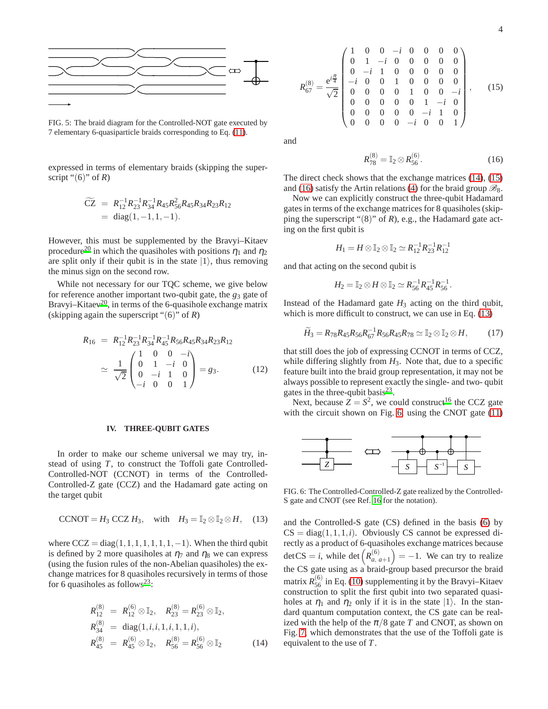

<span id="page-3-0"></span>FIG. 5: The braid diagram for the Controlled-NOT gate executed by 7 elementary 6-quasiparticle braids corresponding to Eq. [\(11\)](#page-2-6).

expressed in terms of elementary braids (skipping the superscript " $(6)$ " of *R*)

$$
\widetilde{CZ} = R_{12}^{-1} R_{23}^{-1} R_{34}^{-1} R_{45} R_{56}^2 R_{45} R_{34} R_{23} R_{12}
$$
  
= diag(1, -1, 1, -1).

However, this must be supplemented by the Bravyi–Kitaev procedure<sup>[20](#page-4-19)</sup> in which the quasiholes with positions  $\eta_1$  and  $\eta_2$ are split only if their qubit is in the state  $|1\rangle$ , thus removing the minus sign on the second row.

While not necessary for our TQC scheme, we give below for reference another important two-qubit gate, the *g*<sup>3</sup> gate of Bravyi–Kitaev<sup>[20](#page-4-19)</sup>, in terms of the 6-quasihole exchange matrix (skipping again the superscript "(6)" of *R*)

$$
R_{16} = R_{12}^{-1} R_{23}^{-1} R_{34}^{-1} R_{45}^{-1} R_{56} R_{45} R_{34} R_{23} R_{12}
$$
  
\n
$$
\simeq \frac{1}{\sqrt{2}} \begin{pmatrix} 1 & 0 & 0 & -i \\ 0 & 1 & -i & 0 \\ 0 & -i & 1 & 0 \\ -i & 0 & 0 & 1 \end{pmatrix} = g_3.
$$
 (12)

# **IV. THREE-QUBIT GATES**

In order to make our scheme universal we may try, instead of using *T*, to construct the Toffoli gate Controlled-Controlled-NOT (CCNOT) in terms of the Controlled-Controlled-Z gate (CCZ) and the Hadamard gate acting on the target qubit

<span id="page-3-4"></span>
$$
CCNOT = H_3 CCZ H_3, \quad \text{with} \quad H_3 = \mathbb{I}_2 \otimes \mathbb{I}_2 \otimes H, \quad (13)
$$

where  $CCZ = diag(1,1,1,1,1,1,1,-1)$ . When the third qubit is defined by 2 more quasiholes at  $\eta_7$  and  $\eta_8$  we can express (using the fusion rules of the non-Abelian quasiholes) the exchange matrices for 8 quasiholes recursively in terms of those for 6 quasiholes as follows<sup>[23](#page-4-22)</sup>:

<span id="page-3-1"></span>
$$
R_{12}^{(8)} = R_{12}^{(6)} \otimes \mathbb{I}_2, \quad R_{23}^{(8)} = R_{23}^{(6)} \otimes \mathbb{I}_2, R_{34}^{(8)} = \text{diag}(1, i, i, 1, i, 1, 1, i), R_{45}^{(8)} = R_{45}^{(6)} \otimes \mathbb{I}_2, \quad R_{56}^{(8)} = R_{56}^{(6)} \otimes \mathbb{I}_2
$$
(14)

<span id="page-3-2"></span>
$$
R_{67}^{(8)} = \frac{e^{i\frac{\pi}{4}}}{\sqrt{2}} \begin{pmatrix} 1 & 0 & 0 & -i & 0 & 0 & 0 & 0 \\ 0 & 1 & -i & 0 & 0 & 0 & 0 & 0 \\ 0 & -i & 1 & 0 & 0 & 0 & 0 & 0 \\ -i & 0 & 0 & 1 & 0 & 0 & 0 & 0 \\ 0 & 0 & 0 & 0 & 1 & 0 & 0 & -i \\ 0 & 0 & 0 & 0 & 0 & 1 & -i & 0 \\ 0 & 0 & 0 & 0 & 0 & -i & 1 & 0 \\ 0 & 0 & 0 & 0 & -i & 0 & 0 & 1 \end{pmatrix}, \qquad (15)
$$

and

<span id="page-3-3"></span>
$$
R_{78}^{(8)} = \mathbb{I}_2 \otimes R_{56}^{(6)}.\tag{16}
$$

The direct check shows that the exchange matrices [\(14\)](#page-3-1), [\(15\)](#page-3-2) and [\(16\)](#page-3-3) satisfy the Artin relations [\(4\)](#page-1-5) for the braid group  $\mathcal{B}_8$ .

Now we can explicitly construct the three-qubit Hadamard gates in terms of the exchange matrices for 8 quasiholes (skipping the superscript "(8)" of *R*), e.g., the Hadamard gate acting on the first qubit is

$$
H_1 = H \otimes \mathbb{I}_2 \otimes \mathbb{I}_2 \simeq R_{12}^{-1} R_{23}^{-1} R_{12}^{-1}
$$

and that acting on the second qubit is

$$
H_2=\mathbb{I}_2\otimes H\otimes \mathbb{I}_2\simeq R_{56}^{-1}R_{45}^{-1}R_{56}^{-1}.
$$

Instead of the Hadamard gate  $H_3$  acting on the third qubit, which is more difficult to construct, we can use in Eq.  $(13)$ 

$$
\widetilde{H}_3 = R_{78}R_{45}R_{56}R_{67}^{-1}R_{56}R_{45}R_{78} \simeq \mathbb{I}_2 \otimes \mathbb{I}_2 \otimes H, \qquad (17)
$$

that still does the job of expressing CCNOT in terms of CCZ, while differing slightly from  $H_3$ . Note that, due to a specific feature built into the braid group representation, it may not be always possible to represent exactly the single- and two- qubit gates in the three-qubit basis<sup>[23](#page-4-22)</sup>.

Next, because  $Z = S^2$ , we could construct<sup>[16](#page-4-15)</sup> the CCZ gate with the circuit shown on Fig. [6,](#page-3-5) using the CNOT gate [\(11\)](#page-2-6)



<span id="page-3-5"></span>FIG. 6: The Controlled-Controlled-Z gate realized by the Controlled-S gate and CNOT (see Ref. [16](#page-4-15) for the notation).

and the Controlled-S gate (CS) defined in the basis [\(6\)](#page-2-3) by  $CS = diag(1, 1, 1, i)$ . Obviously CS cannot be expressed directly as a product of 6-quasiholes exchange matrices because  $\det CS = i$ , while  $\det \left( R_a^{(6)} \right)$ *a*, *a*+1  $= -1$ . We can try to realize the CS gate using as a braid-group based precursor the braid matrix  $R_{56}^{(6)}$  in Eq. [\(10\)](#page-2-5) supplementing it by the Bravyi–Kitaev construction to split the first qubit into two separated quasiholes at  $\eta_1$  and  $\eta_2$  only if it is in the state  $|1\rangle$ . In the standard quantum computation context, the CS gate can be realized with the help of the  $\pi/8$  gate *T* and CNOT, as shown on Fig. [7,](#page-4-29) which demonstrates that the use of the Toffoli gate is equivalent to the use of *T*.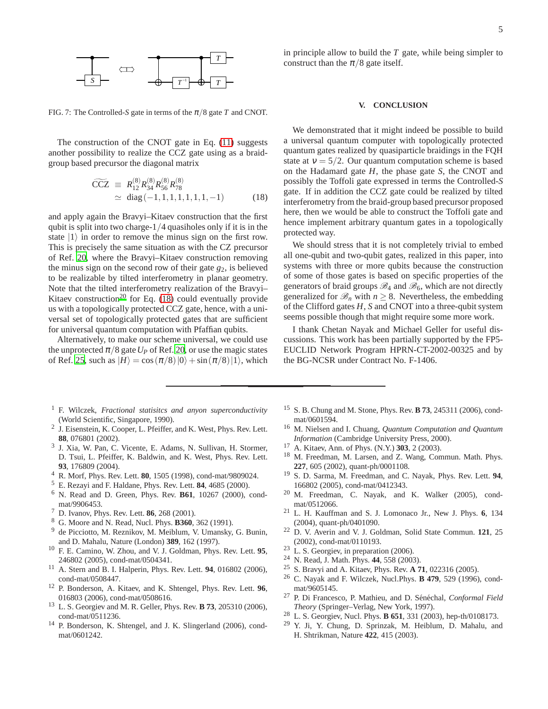

<span id="page-4-29"></span>FIG. 7: The Controlled-*S* gate in terms of the  $\pi/8$  gate *T* and CNOT.

The construction of the CNOT gate in Eq. [\(11\)](#page-2-6) suggests another possibility to realize the CCZ gate using as a braidgroup based precursor the diagonal matrix

<span id="page-4-30"></span>
$$
\widetilde{CCZ} \equiv R_{12}^{(8)} R_{34}^{(8)} R_{56}^{(8)} R_{78}^{(8)}
$$
  
\approx diag (-1, 1, 1, 1, 1, 1, 1, -1) (18)

and apply again the Bravyi–Kitaev construction that the first qubit is split into two charge-1/4 quasiholes only if it is in the state  $|1\rangle$  in order to remove the minus sign on the first row. This is precisely the same situation as with the CZ precursor of Ref. [20](#page-4-19), where the Bravyi–Kitaev construction removing the minus sign on the second row of their gate *g*2, is believed to be realizable by tilted interferometry in planar geometry. Note that the tilted interferometry realization of the Bravyi– Kitaev construction<sup>[20](#page-4-19)</sup> for Eq.  $(18)$  could eventually provide us with a topologically protected CCZ gate, hence, with a universal set of topologically protected gates that are sufficient for universal quantum computation with Pfaffian qubits.

Alternatively, to make our scheme universal, we could use the unprotected  $\pi/8$  gate  $U_P$  of Ref. [20,](#page-4-19) or use the magic states of Ref. [25,](#page-4-24) such as  $|H\rangle = \cos(\pi/8)|0\rangle + \sin(\pi/8)|1\rangle$ , which

- <span id="page-4-0"></span><sup>1</sup> F. Wilczek, *Fractional statisitcs and anyon superconductivity* (World Scientific, Singapore, 1990).
- <span id="page-4-1"></span>2 J. Eisenstein, K. Cooper, L. Pfeiffer, and K. West, Phys. Rev. Lett. **88**, 076801 (2002).
- <span id="page-4-2"></span>3 J. Xia, W. Pan, C. Vicente, E. Adams, N. Sullivan, H. Stormer, D. Tsui, L. Pfeiffer, K. Baldwin, and K. West, Phys. Rev. Lett. **93**, 176809 (2004).
- <span id="page-4-3"></span><sup>4</sup> R. Morf, Phys. Rev. Lett. **80**, 1505 (1998), cond-mat/9809024.
- <span id="page-4-4"></span><sup>5</sup> E. Rezayi and F. Haldane, Phys. Rev. Lett. **84**, 4685 (2000).
- <span id="page-4-5"></span><sup>6</sup> N. Read and D. Green, Phys. Rev. **B61**, 10267 (2000), condmat/9906453.
- <span id="page-4-6"></span><sup>7</sup> D. Ivanov, Phys. Rev. Lett. **86**, 268 (2001).
- <span id="page-4-7"></span><sup>8</sup> G. Moore and N. Read, Nucl. Phys. **B360**, 362 (1991).
- <span id="page-4-8"></span><sup>9</sup> de Picciotto, M. Reznikov, M. Meiblum, V. Umansky, G. Bunin, and D. Mahalu, Nature (London) **389**, 162 (1997).
- <span id="page-4-9"></span><sup>10</sup> F. E. Camino, W. Zhou, and V. J. Goldman, Phys. Rev. Lett. **95**, 246802 (2005), cond-mat/0504341.
- <span id="page-4-10"></span><sup>11</sup> A. Stern and B. I. Halperin, Phys. Rev. Lett. **94**, 016802 (2006), cond-mat/0508447.
- <span id="page-4-11"></span><sup>12</sup> P. Bonderson, A. Kitaev, and K. Shtengel, Phys. Rev. Lett. **96**, 016803 (2006), cond-mat/0508616.
- <span id="page-4-12"></span><sup>13</sup> L. S. Georgiev and M. R. Geller, Phys. Rev. **B 73**, 205310 (2006), cond-mat/0511236.
- <span id="page-4-13"></span><sup>14</sup> P. Bonderson, K. Shtengel, and J. K. Slingerland (2006), condmat/0601242.

in principle allow to build the *T* gate, while being simpler to construct than the  $\pi/8$  gate itself.

#### **V. CONCLUSION**

We demonstrated that it might indeed be possible to build a universal quantum computer with topologically protected quantum gates realized by quasiparticle braidings in the FQH state at  $v = 5/2$ . Our quantum computation scheme is based on the Hadamard gate *H*, the phase gate *S*, the CNOT and possibly the Toffoli gate expressed in terms the Controlled-*S* gate. If in addition the CCZ gate could be realized by tilted interferometry from the braid-group based precursor proposed here, then we would be able to construct the Toffoli gate and hence implement arbitrary quantum gates in a topologically protected way.

We should stress that it is not completely trivial to embed all one-qubit and two-qubit gates, realized in this paper, into systems with three or more qubits because the construction of some of those gates is based on specific properties of the generators of braid groups  $\mathcal{B}_4$  and  $\mathcal{B}_6$ , which are not directly generalized for  $\mathcal{B}_n$  with  $n \geq 8$ . Nevertheless, the embedding of the Clifford gates *H*, *S* and CNOT into a three-qubit system seems possible though that might require some more work.

I thank Chetan Nayak and Michael Geller for useful discussions. This work has been partially supported by the FP5- EUCLID Network Program HPRN-CT-2002-00325 and by the BG-NCSR under Contract No. F-1406.

- <span id="page-4-14"></span><sup>15</sup> S. B. Chung and M. Stone, Phys. Rev. **B 73**, 245311 (2006), condmat/0601594.
- <span id="page-4-15"></span><sup>16</sup> M. Nielsen and I. Chuang, *Quantum Computation and Quantum Information* (Cambridge University Press, 2000).
- <span id="page-4-16"></span><sup>17</sup> A. Kitaev, Ann. of Phys. (N.Y.) **303**, 2 (2003).
- <span id="page-4-17"></span><sup>18</sup> M. Freedman, M. Larsen, and Z. Wang, Commun. Math. Phys. **227**, 605 (2002), quant-ph/0001108.
- <span id="page-4-18"></span><sup>19</sup> S. D. Sarma, M. Freedman, and C. Nayak, Phys. Rev. Lett. **94**, 166802 (2005), cond-mat/0412343.
- <span id="page-4-19"></span><sup>20</sup> M. Freedman, C. Nayak, and K. Walker (2005), condmat/0512066.
- <span id="page-4-20"></span><sup>21</sup> L. H. Kauffman and S. J. Lomonaco Jr., New J. Phys. **6**, 134 (2004), quant-ph/0401090.
- <span id="page-4-21"></span><sup>22</sup> D. V. Averin and V. J. Goldman, Solid State Commun. **121**, 25 (2002), cond-mat/0110193.
- <span id="page-4-22"></span><sup>23</sup> L. S. Georgiev, in preparation (2006).
- <span id="page-4-23"></span><sup>24</sup> N. Read, J. Math. Phys. **44**, 558 (2003).
- <span id="page-4-24"></span><sup>25</sup> S. Bravyi and A. Kitaev, Phys. Rev. **A 71**, 022316 (2005).
- <span id="page-4-25"></span><sup>26</sup> C. Nayak and F. Wilczek, Nucl.Phys. **B 479**, 529 (1996), condmat/9605145.
- <span id="page-4-26"></span><sup>27</sup> P. Di Francesco, P. Mathieu, and D. Sénéchal, *Conformal Field Theory* (Springer–Verlag, New York, 1997).
- <span id="page-4-27"></span><sup>28</sup> L. S. Georgiev, Nucl. Phys. **B 651**, 331 (2003), hep-th/0108173.
- <span id="page-4-28"></span><sup>29</sup> Y. Ji, Y. Chung, D. Sprinzak, M. Heiblum, D. Mahalu, and H. Shtrikman, Nature **422**, 415 (2003).